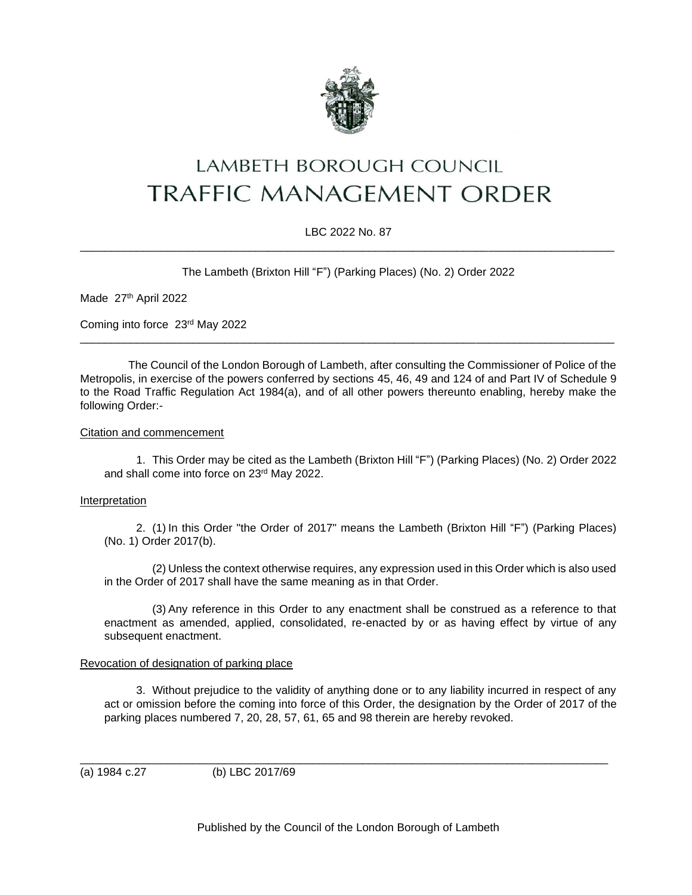

# LAMBETH BOROUGH COUNCIL **TRAFFIC MANAGEMENT ORDER**

## LBC 2022 No. 87 \_\_\_\_\_\_\_\_\_\_\_\_\_\_\_\_\_\_\_\_\_\_\_\_\_\_\_\_\_\_\_\_\_\_\_\_\_\_\_\_\_\_\_\_\_\_\_\_\_\_\_\_\_\_\_\_\_\_\_\_\_\_\_\_\_\_\_\_\_\_\_\_\_\_\_\_\_\_\_\_\_\_\_\_\_

The Lambeth (Brixton Hill "F") (Parking Places) (No. 2) Order 2022

Made 27th April 2022

Coming into force 23rd May 2022

The Council of the London Borough of Lambeth, after consulting the Commissioner of Police of the Metropolis, in exercise of the powers conferred by sections 45, 46, 49 and 124 of and Part IV of Schedule 9 to the Road Traffic Regulation Act 1984(a), and of all other powers thereunto enabling, hereby make the following Order:-

\_\_\_\_\_\_\_\_\_\_\_\_\_\_\_\_\_\_\_\_\_\_\_\_\_\_\_\_\_\_\_\_\_\_\_\_\_\_\_\_\_\_\_\_\_\_\_\_\_\_\_\_\_\_\_\_\_\_\_\_\_\_\_\_\_\_\_\_\_\_\_\_\_\_\_\_\_\_\_\_\_\_\_\_\_

### Citation and commencement

1. This Order may be cited as the Lambeth (Brixton Hill "F") (Parking Places) (No. 2) Order 2022 and shall come into force on 23rd May 2022.

### Interpretation

2. (1) In this Order "the Order of 2017" means the Lambeth (Brixton Hill "F") (Parking Places) (No. 1) Order 2017(b).

(2) Unless the context otherwise requires, any expression used in this Order which is also used in the Order of 2017 shall have the same meaning as in that Order.

(3) Any reference in this Order to any enactment shall be construed as a reference to that enactment as amended, applied, consolidated, re-enacted by or as having effect by virtue of any subsequent enactment.

### Revocation of designation of parking place

3. Without prejudice to the validity of anything done or to any liability incurred in respect of any act or omission before the coming into force of this Order, the designation by the Order of 2017 of the parking places numbered 7, 20, 28, 57, 61, 65 and 98 therein are hereby revoked.

\_\_\_\_\_\_\_\_\_\_\_\_\_\_\_\_\_\_\_\_\_\_\_\_\_\_\_\_\_\_\_\_\_\_\_\_\_\_\_\_\_\_\_\_\_\_\_\_\_\_\_\_\_\_\_\_\_\_\_\_\_\_\_\_\_\_\_\_\_\_\_\_\_\_\_\_\_\_\_\_\_\_\_\_ (a) 1984 c.27 (b) LBC 2017/69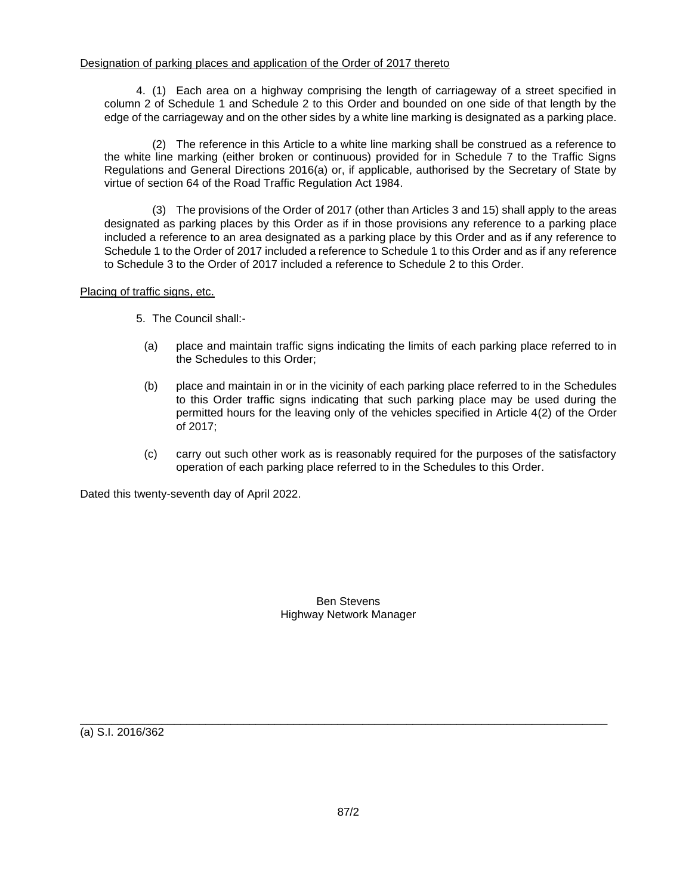4. (1) Each area on a highway comprising the length of carriageway of a street specified in column 2 of Schedule 1 and Schedule 2 to this Order and bounded on one side of that length by the edge of the carriageway and on the other sides by a white line marking is designated as a parking place.

(2) The reference in this Article to a white line marking shall be construed as a reference to the white line marking (either broken or continuous) provided for in Schedule 7 to the Traffic Signs Regulations and General Directions 2016(a) or, if applicable, authorised by the Secretary of State by virtue of section 64 of the Road Traffic Regulation Act 1984.

(3) The provisions of the Order of 2017 (other than Articles 3 and 15) shall apply to the areas designated as parking places by this Order as if in those provisions any reference to a parking place included a reference to an area designated as a parking place by this Order and as if any reference to Schedule 1 to the Order of 2017 included a reference to Schedule 1 to this Order and as if any reference to Schedule 3 to the Order of 2017 included a reference to Schedule 2 to this Order.

Placing of traffic signs, etc.

- 5. The Council shall:-
	- (a) place and maintain traffic signs indicating the limits of each parking place referred to in the Schedules to this Order;
	- (b) place and maintain in or in the vicinity of each parking place referred to in the Schedules to this Order traffic signs indicating that such parking place may be used during the permitted hours for the leaving only of the vehicles specified in Article 4(2) of the Order of 2017;
	- (c) carry out such other work as is reasonably required for the purposes of the satisfactory operation of each parking place referred to in the Schedules to this Order.

Dated this twenty-seventh day of April 2022.

Ben Stevens Highway Network Manager

(a) S.I. 2016/362

\_\_\_\_\_\_\_\_\_\_\_\_\_\_\_\_\_\_\_\_\_\_\_\_\_\_\_\_\_\_\_\_\_\_\_\_\_\_\_\_\_\_\_\_\_\_\_\_\_\_\_\_\_\_\_\_\_\_\_\_\_\_\_\_\_\_\_\_\_\_\_\_\_\_\_\_\_\_\_\_\_\_\_\_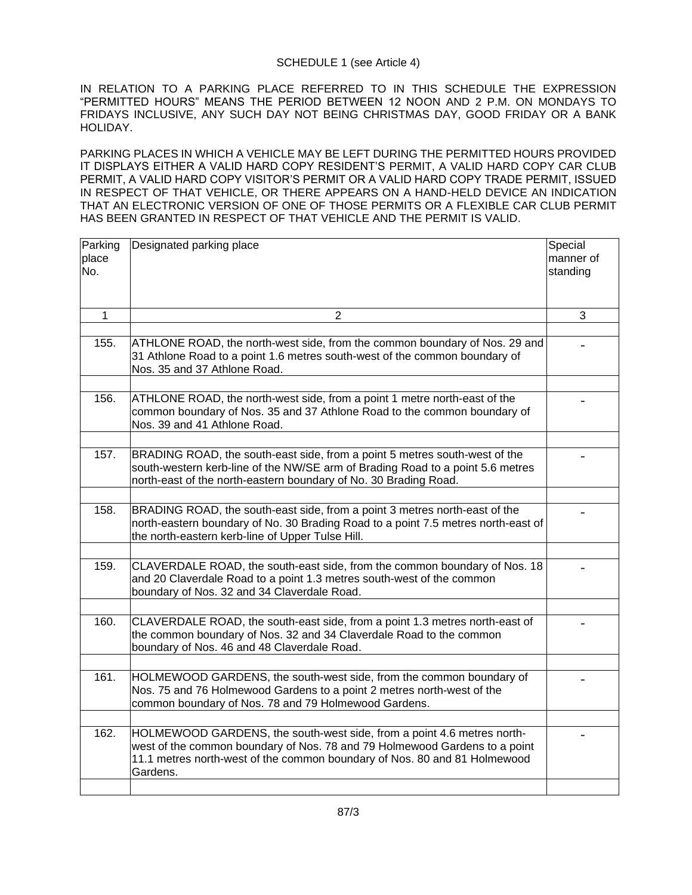## SCHEDULE 1 (see Article 4)

IN RELATION TO A PARKING PLACE REFERRED TO IN THIS SCHEDULE THE EXPRESSION "PERMITTED HOURS" MEANS THE PERIOD BETWEEN 12 NOON AND 2 P.M. ON MONDAYS TO FRIDAYS INCLUSIVE, ANY SUCH DAY NOT BEING CHRISTMAS DAY, GOOD FRIDAY OR A BANK HOLIDAY.

PARKING PLACES IN WHICH A VEHICLE MAY BE LEFT DURING THE PERMITTED HOURS PROVIDED IT DISPLAYS EITHER A VALID HARD COPY RESIDENT'S PERMIT, A VALID HARD COPY CAR CLUB PERMIT, A VALID HARD COPY VISITOR'S PERMIT OR A VALID HARD COPY TRADE PERMIT, ISSUED IN RESPECT OF THAT VEHICLE, OR THERE APPEARS ON A HAND-HELD DEVICE AN INDICATION THAT AN ELECTRONIC VERSION OF ONE OF THOSE PERMITS OR A FLEXIBLE CAR CLUB PERMIT HAS BEEN GRANTED IN RESPECT OF THAT VEHICLE AND THE PERMIT IS VALID.

| Parking<br>place<br>No. | Designated parking place                                                                                                                                                                                                                      | Special<br>manner of<br>standing |
|-------------------------|-----------------------------------------------------------------------------------------------------------------------------------------------------------------------------------------------------------------------------------------------|----------------------------------|
|                         |                                                                                                                                                                                                                                               |                                  |
| 1                       | $\overline{2}$                                                                                                                                                                                                                                | 3                                |
| 155.                    | ATHLONE ROAD, the north-west side, from the common boundary of Nos. 29 and<br>31 Athlone Road to a point 1.6 metres south-west of the common boundary of<br>Nos. 35 and 37 Athlone Road.                                                      |                                  |
| 156.                    | ATHLONE ROAD, the north-west side, from a point 1 metre north-east of the<br>common boundary of Nos. 35 and 37 Athlone Road to the common boundary of<br>Nos. 39 and 41 Athlone Road.                                                         |                                  |
|                         |                                                                                                                                                                                                                                               |                                  |
| 157.                    | BRADING ROAD, the south-east side, from a point 5 metres south-west of the<br>south-western kerb-line of the NW/SE arm of Brading Road to a point 5.6 metres<br>north-east of the north-eastern boundary of No. 30 Brading Road.              |                                  |
|                         |                                                                                                                                                                                                                                               |                                  |
| 158.                    | BRADING ROAD, the south-east side, from a point 3 metres north-east of the<br>north-eastern boundary of No. 30 Brading Road to a point 7.5 metres north-east of<br>the north-eastern kerb-line of Upper Tulse Hill.                           |                                  |
|                         |                                                                                                                                                                                                                                               |                                  |
| 159.                    | CLAVERDALE ROAD, the south-east side, from the common boundary of Nos. 18<br>and 20 Claverdale Road to a point 1.3 metres south-west of the common<br>boundary of Nos. 32 and 34 Claverdale Road.                                             |                                  |
|                         |                                                                                                                                                                                                                                               |                                  |
| 160.                    | CLAVERDALE ROAD, the south-east side, from a point 1.3 metres north-east of<br>the common boundary of Nos. 32 and 34 Claverdale Road to the common<br>boundary of Nos. 46 and 48 Claverdale Road.                                             |                                  |
|                         |                                                                                                                                                                                                                                               |                                  |
| 161.                    | HOLMEWOOD GARDENS, the south-west side, from the common boundary of<br>Nos. 75 and 76 Holmewood Gardens to a point 2 metres north-west of the<br>common boundary of Nos. 78 and 79 Holmewood Gardens.                                         |                                  |
|                         |                                                                                                                                                                                                                                               |                                  |
| 162.                    | HOLMEWOOD GARDENS, the south-west side, from a point 4.6 metres north-<br>west of the common boundary of Nos. 78 and 79 Holmewood Gardens to a point<br>11.1 metres north-west of the common boundary of Nos. 80 and 81 Holmewood<br>Gardens. |                                  |
|                         |                                                                                                                                                                                                                                               |                                  |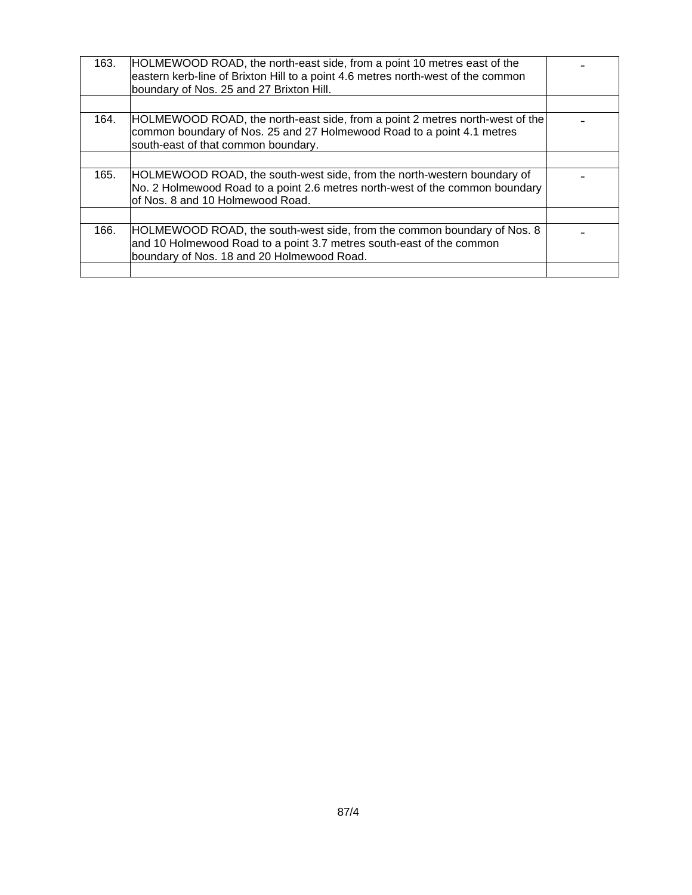| 163. | HOLMEWOOD ROAD, the north-east side, from a point 10 metres east of the<br>eastern kerb-line of Brixton Hill to a point 4.6 metres north-west of the common<br>boundary of Nos. 25 and 27 Brixton Hill. |  |
|------|---------------------------------------------------------------------------------------------------------------------------------------------------------------------------------------------------------|--|
|      |                                                                                                                                                                                                         |  |
| 164. | HOLMEWOOD ROAD, the north-east side, from a point 2 metres north-west of the<br>common boundary of Nos. 25 and 27 Holmewood Road to a point 4.1 metres<br>south-east of that common boundary.           |  |
|      |                                                                                                                                                                                                         |  |
| 165. | HOLMEWOOD ROAD, the south-west side, from the north-western boundary of<br>No. 2 Holmewood Road to a point 2.6 metres north-west of the common boundary<br>of Nos. 8 and 10 Holmewood Road.             |  |
|      |                                                                                                                                                                                                         |  |
| 166. | HOLMEWOOD ROAD, the south-west side, from the common boundary of Nos. 8<br>and 10 Holmewood Road to a point 3.7 metres south-east of the common<br>boundary of Nos. 18 and 20 Holmewood Road.           |  |
|      |                                                                                                                                                                                                         |  |